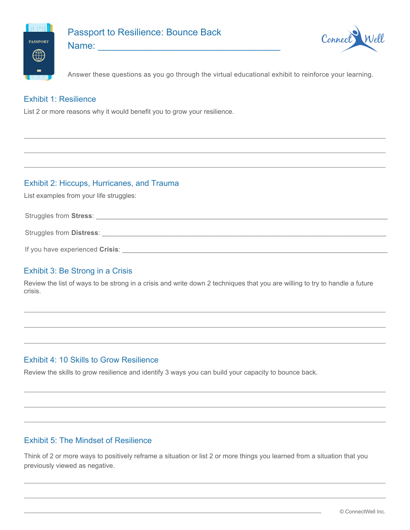

# Passport to Resilience: Bounce Back



Name: \_\_\_\_\_\_\_\_\_\_\_\_\_\_\_\_\_\_\_\_\_\_\_\_\_\_\_\_\_\_\_\_\_\_\_

Answer these questions as you go through the virtual educational exhibit to reinforce your learning.

## Exhibit 1: Resilience

List 2 or more reasons why it would benefit you to grow your resilience.

# Exhibit 2: Hiccups, Hurricanes, and Trauma

List examples from your life struggles:

Struggles from Stress: **with a street of the street of the street of the street of the street of the street of the street of the street of the street of the street of the street of the street of the street of the street of** 

Struggles from **Distress**:

| If you have experienced Crisis: |
|---------------------------------|
|                                 |

# Exhibit 3: Be Strong in a Crisis

Review the list of ways to be strong in a crisis and write down 2 techniques that you are willing to try to handle a future crisis.

# Exhibit 4: 10 Skills to Grow Resilience

Review the skills to grow resilience and identify 3 ways you can build your capacity to bounce back.

# Exhibit 5: The Mindset of Resilience

Think of 2 or more ways to positively reframe a situation or list 2 or more things you learned from a situation that you previously viewed as negative.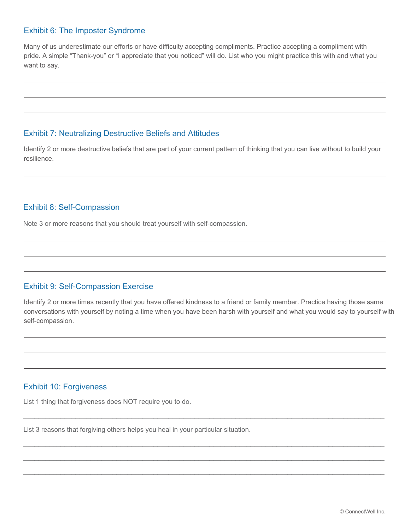#### Exhibit 6: The Imposter Syndrome

Many of us underestimate our efforts or have difficulty accepting compliments. Practice accepting a compliment with pride. A simple "Thank-you" or "I appreciate that you noticed" will do. List who you might practice this with and what you want to say.

#### Exhibit 7: Neutralizing Destructive Beliefs and Attitudes

Identify 2 or more destructive beliefs that are part of your current pattern of thinking that you can live without to build your resilience.

### Exhibit 8: Self-Compassion

Note 3 or more reasons that you should treat yourself with self-compassion.

## Exhibit 9: Self-Compassion Exercise

Identify 2 or more times recently that you have offered kindness to a friend or family member. Practice having those same conversations with yourself by noting a time when you have been harsh with yourself and what you would say to yourself with self-compassion.

 $\Box$ 

\_\_\_\_\_\_\_\_\_\_\_\_\_\_\_\_\_\_\_\_\_\_\_\_\_\_\_\_\_\_\_\_\_\_\_\_\_\_\_\_\_\_\_\_\_\_\_\_\_\_\_\_\_\_\_\_\_\_\_\_\_\_\_\_\_\_\_\_\_\_\_\_\_\_\_\_\_\_\_\_\_\_\_\_\_\_\_\_\_\_\_\_\_\_\_\_\_

\_\_\_\_\_\_\_\_\_\_\_\_\_\_\_\_\_\_\_\_\_\_\_\_\_\_\_\_\_\_\_\_\_\_\_\_\_\_\_\_\_\_\_\_\_\_\_\_\_\_\_\_\_\_\_\_\_\_\_\_\_\_\_\_\_\_\_\_\_\_\_\_\_\_\_\_\_\_\_\_\_\_\_\_\_\_\_\_\_\_\_\_\_\_\_\_\_

\_\_\_\_\_\_\_\_\_\_\_\_\_\_\_\_\_\_\_\_\_\_\_\_\_\_\_\_\_\_\_\_\_\_\_\_\_\_\_\_\_\_\_\_\_\_\_\_\_\_\_\_\_\_\_\_\_\_\_\_\_\_\_\_\_\_\_\_\_\_\_\_\_\_\_\_\_\_\_\_\_\_\_\_\_\_\_\_\_\_\_\_\_\_\_\_\_

## Exhibit 10: Forgiveness

List 1 thing that forgiveness does NOT require you to do.

List 3 reasons that forgiving others helps you heal in your particular situation.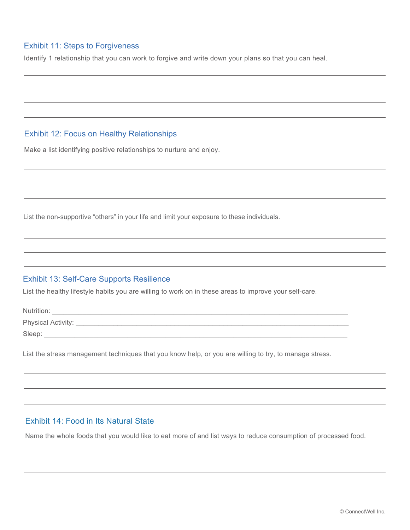## Exhibit 11: Steps to Forgiveness

Identify 1 relationship that you can work to forgive and write down your plans so that you can heal.

#### Exhibit 12: Focus on Healthy Relationships

Make a list identifying positive relationships to nurture and enjoy.

List the non-supportive "others" in your life and limit your exposure to these individuals.

#### Exhibit 13: Self-Care Supports Resilience

List the healthy lifestyle habits you are willing to work on in these areas to improve your self-care.

| Nutrition:         |  |
|--------------------|--|
| Physical Activity: |  |
| Sleep:             |  |

List the stress management techniques that you know help, or you are willing to try, to manage stress.

#### Exhibit 14: Food in Its Natural State

Name the whole foods that you would like to eat more of and list ways to reduce consumption of processed food.